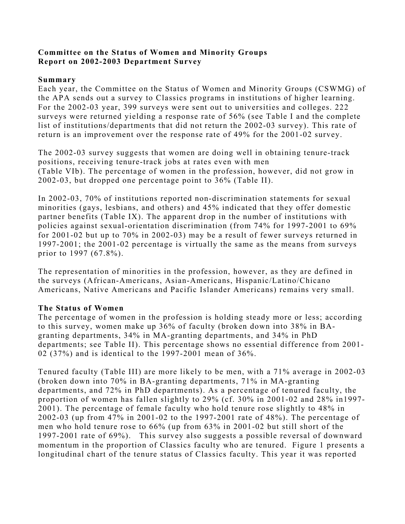## **Committee on the Status of Women and Minority Groups Report on 2002-2003 Department Survey**

#### **Summary**

Each year, the Committee on the Status of Women and Minority Groups (CSWMG) of the APA sends out a survey to Classics programs in institutions of higher learning. For the 2002-03 year, 399 surveys were sent out to universities and colleges. 222 surveys were returned yielding a response rate of 56% (see Table I and the complete list of institutions/departments that did not return the 2002-03 survey). This rate of return is an improvement over the response rate of 49% for the 2001-02 survey.

The 2002-03 survey suggests that women are doing well in obtaining tenure-track positions, receiving tenure-track jobs at rates even with men (Table VIb). The percentage of women in the profession, however, did not grow in 2002-03, but dropped one percentage point to 36% (Table II).

In 2002-03, 70% of institutions reported non-discrimination statements for sexual minorities (gays, lesbians, and others) and 45% indicated that they offer domestic partner benefits (Table IX). The apparent drop in the number of institutions with policies against sexual-orientation discrimination (from 74% for 1997-2001 to 69% for 2001-02 but up to 70% in 2002-03) may be a result of fewer surveys returned in 1997-2001; the 2001-02 percentage is virtually the same as the means from surveys prior to 1997 (67.8%).

The representation of minorities in the profession, however, as they are defined in the surveys (African-Americans, Asian-Americans, Hispanic/Latino/Chicano Americans, Native Americans and Pacific Islander Americans) remains very small.

## **The Status of Women**

The percentage of women in the profession is holding steady more or less; according to this survey, women make up 36% of faculty (broken down into 38% in BAgranting departments, 34% in MA-granting departments, and 34% in PhD departments; see Table II). This percentage shows no essential difference from 2001- 02 (37%) and is identical to the 1997-2001 mean of 36%.

Tenured faculty (Table III) are more likely to be men, with a 71% average in 2002-03 (broken down into 70% in BA-granting departments, 71% in MA-granting departments, and 72% in PhD departments). As a percentage of tenured faculty, the proportion of women has fallen slightly to 29% (cf. 30% in 2001-02 and 28% in1997- 2001). The percentage of female faculty who hold tenure rose slightly to 48% in 2002-03 (up from 47% in 2001-02 to the 1997-2001 rate of 48%). The percentage of men who hold tenure rose to 66% (up from 63% in 2001-02 but still short of the 1997-2001 rate of 69%). This survey also suggests a possible reversal of downward momentum in the proportion of Classics faculty who are tenured. Figure 1 presents a longitudinal chart of the tenure status of Classics faculty. This year it was reported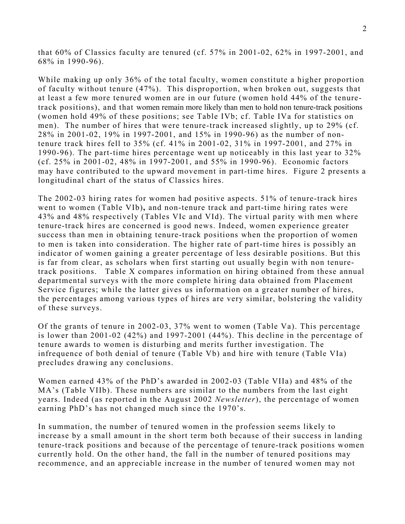that 60% of Classics faculty are tenured (cf. 57% in 2001-02, 62% in 1997-2001, and 68% in 1990-96).

While making up only 36% of the total faculty, women constitute a higher proportion of faculty without tenure (47%). This disproportion, when broken out, suggests that at least a few more tenured women are in our future (women hold 44% of the tenuretrack positions), and that women remain more likely than men to hold non tenure-track positions (women hold 49% of these positions; see Table IVb; cf. Table IVa for statistics on men). The number of hires that were tenure-track increased slightly, up to 29% (cf. 28% in 2001-02, 19% in 1997-2001, and 15% in 1990-96) as the number of nontenure track hires fell to 35% (cf. 41% in 2001-02, 31% in 1997-2001, and 27% in 1990-96). The part-time hires percentage went up noticeably in this last year to 32% (cf. 25% in 2001-02, 48% in 1997-2001, and 55% in 1990-96). Economic factors may have contributed to the upward movement in part-time hires. Figure 2 presents a longitudinal chart of the status of Classics hires.

The 2002-03 hiring rates for women had positive aspects. 51% of tenure-track hires went to women (Table VIb)**,** and non-tenure track and part-time hiring rates were 43% and 48% respectively (Tables VIc and VId). The virtual parity with men where tenure-track hires are concerned is good news. Indeed, women experience greater success than men in obtaining tenure-track positions when the proportion of women to men is taken into consideration. The higher rate of part-time hires is possibly an indicator of women gaining a greater percentage of less desirable positions. But this is far from clear, as scholars when first starting out usually begin with non tenuretrack positions. Table X compares information on hiring obtained from these annual departmental surveys with the more complete hiring data obtained from Placement Service figures; while the latter gives us information on a greater number of hires, the percentages among various types of hires are very similar, bolstering the validity of these surveys.

Of the grants of tenure in 2002-03, 37% went to women (Table Va). This percentage is lower than 2001-02 (42%) and 1997-2001 (44%). This decline in the percentage of tenure awards to women is disturbing and merits further investigation. The infrequence of both denial of tenure (Table Vb) and hire with tenure (Table VIa) precludes drawing any conclusions.

Women earned 43% of the PhD's awarded in 2002-03 (Table VIIa) and 48% of the MA's (Table VIIb). These numbers are similar to the numbers from the last eight years. Indeed (as reported in the August 2002 *Newsletter*), the percentage of women earning PhD's has not changed much since the 1970's.

In summation, the number of tenured women in the profession seems likely to increase by a small amount in the short term both because of their success in landing tenure-track positions and because of the percentage of tenure-track positions women currently hold. On the other hand, the fall in the number of tenured positions may recommence, and an appreciable increase in the number of tenured women may not